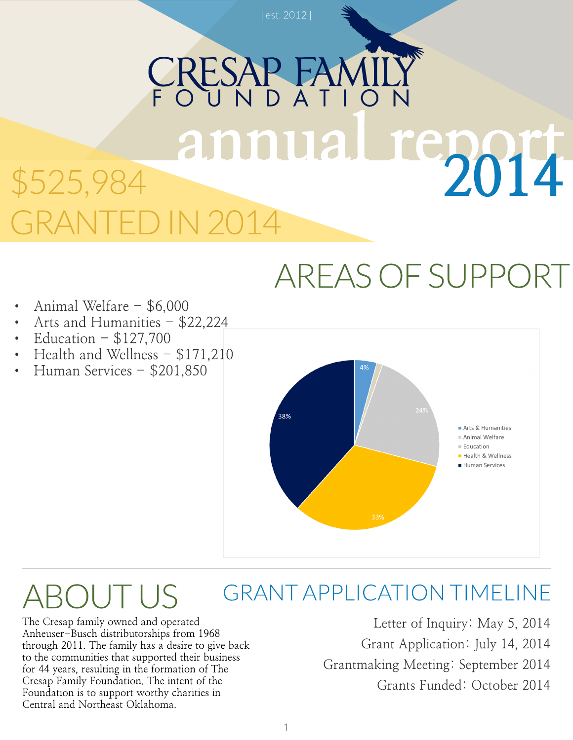## RESAP annual report 2014 \$525,984 GRANTED IN 2014

### AREASOFSUPPORT

- Animal Welfare \$6,000
- Arts and Humanities \$22,224
- Education  $-$  \$127,700
- Health and Wellness  $$171,210$
- Human Services \$201,850



#### GRANTAPPLICATION TIMELINE **OUTUS**

The Cresap family owned and operated Anheuser-Busch distributorships from 1968 through 2011. The family has a desire to give back to the communities that supported their business for 44 years, resulting in the formation of The Cresap Family Foundation. The intent of the Foundation is to support worthy charities in Central and Northeast Oklahoma.

Letter of Inquiry: May 5, 2014 Grant Application: July 14, 2014 Grantmaking Meeting: September 2014 Grants Funded: October 2014